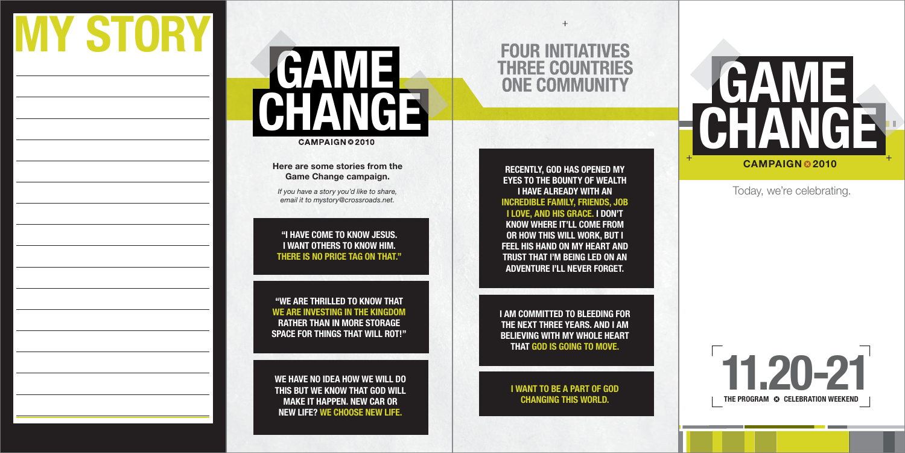#### **"I HAVE COME TO KNOW JESUS.I WANT OTHERS TO KNOW HIM.THERE IS NO PRICE TAG ON THAT."**

## **GAME G CHANGE** CAMPAIGN © 2010

**"WE ARE THRILLED TO KNOW THATWE ARE INVESTING IN THE KINGDOMRATHER THAN IN MORE STORAGESPACE FOR THINGS THAT WILL ROT!"**

**WE HAVE NO IDEA HOW WE WILL DO THIS BUT WE KNOW THAT GOD WILL MAKE IT HAPPEN. NEW CAR OR NEW LIFE? WE CHOOSE NEW LIFE.**

### **FOUR INITIATIVES THREE COUNTRIES ONE COMMUNITY**

 $+$ 

**I WANT TO BE A PART OF GOD CHANGING THIS WORLD.**

**I AM COMMITTED TO BLEEDING FOR THE NEXT THREE YEARS. AND I AM BELIEVING WITH MY WHOLE HEART THAT GOD IS GOING TO MOVE.**

**RECENTLY, GOD HAS OPENED MY EYES TO THE BOUNTY OF WEALTH I HAVE ALREADY WITH ANINCREDIBLE FAMILY, FRIENDS, JOB I LOVE, AND HIS GRACE. I DON'T KNOW WHERE IT'LL COME FROM OR HOW THIS WILL WORK, BUT I FEEL HIS HAND ON MY HEART AND TRUST THAT I'M BEING LED ON AN ADVENTURE I'LL NEVER FORGET.**





#### Today, we're celebrating.

#### **Here are some stories from the Game Change campaign.**

*If you have a story you'd like to share, email it to mystory@crossroads.net.*

# **MY STORY**